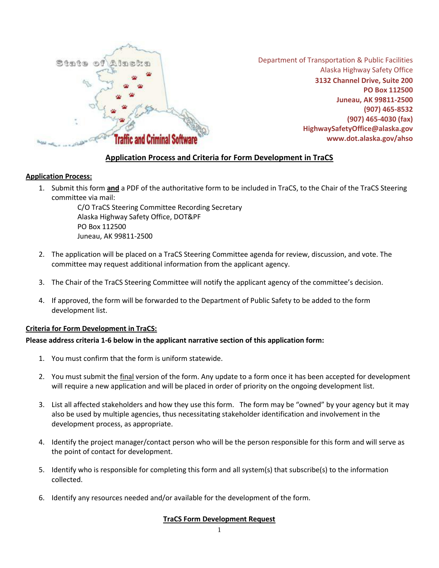

Department of Transportation & Public Facilities Alaska Highway Safety Office **3132 Channel Drive, Suite 200 PO Box 112500 Juneau, AK 99811-2500 (907) 465-8532 (907) 465-4030 (fax) [HighwaySafetyOffice@alaska.gov](mailto:cindy.cashen@alaska.gov) [www.dot.alaska.gov/ahso](http://dot.alaska.gov/ahso)**

# **Application Process and Criteria for Form Development in TraCS**

## **Application Process:**

1. Submit this form **and** a PDF of the authoritative form to be included in TraCS, to the Chair of the TraCS Steering committee via mail:

> C/O TraCS Steering Committee Recording Secretary Alaska Highway Safety Office, DOT&PF PO Box 112500 Juneau, AK 99811-2500

- 2. The application will be placed on a TraCS Steering Committee agenda for review, discussion, and vote. The committee may request additional information from the applicant agency.
- 3. The Chair of the TraCS Steering Committee will notify the applicant agency of the committee's decision.
- 4. If approved, the form will be forwarded to the Department of Public Safety to be added to the form development list.

### **Criteria for Form Development in TraCS:**

### **Please address criteria 1-6 below in the applicant narrative section of this application form:**

- 1. You must confirm that the form is uniform statewide.
- 2. You must submit the final version of the form. Any update to a form once it has been accepted for development will require a new application and will be placed in order of priority on the ongoing development list.
- 3. List all affected stakeholders and how they use this form. The form may be "owned" by your agency but it may also be used by multiple agencies, thus necessitating stakeholder identification and involvement in the development process, as appropriate.
- 4. Identify the project manager/contact person who will be the person responsible for this form and will serve as the point of contact for development.
- 5. Identify who is responsible for completing this form and all system(s) that subscribe(s) to the information collected.
- 6. Identify any resources needed and/or available for the development of the form.

## **TraCS Form Development Request**